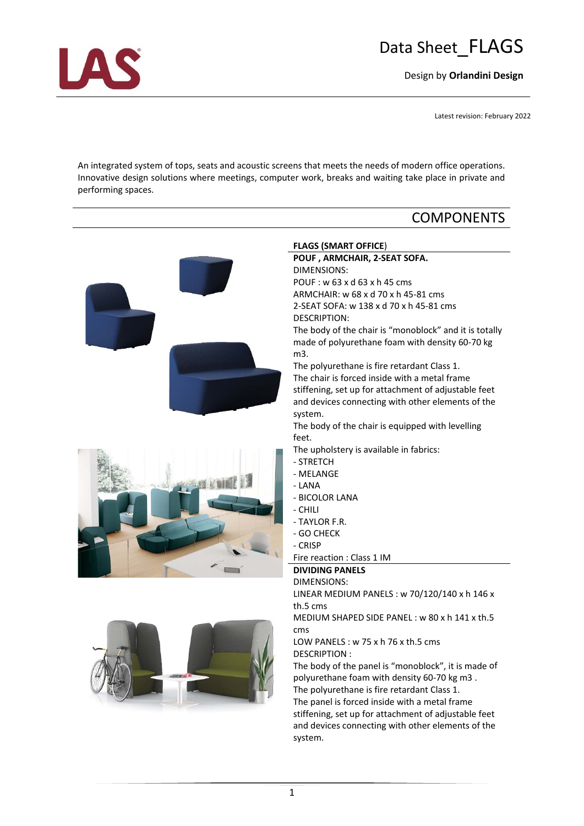# Data Sheet\_FLAGS

Design by **Orlandini Design**

Latest revision: February 2022

An integrated system of tops, seats and acoustic screens that meets the needs of modern office operations. Innovative design solutions where meetings, computer work, breaks and waiting take place in private and performing spaces.

## **COMPONENTS**



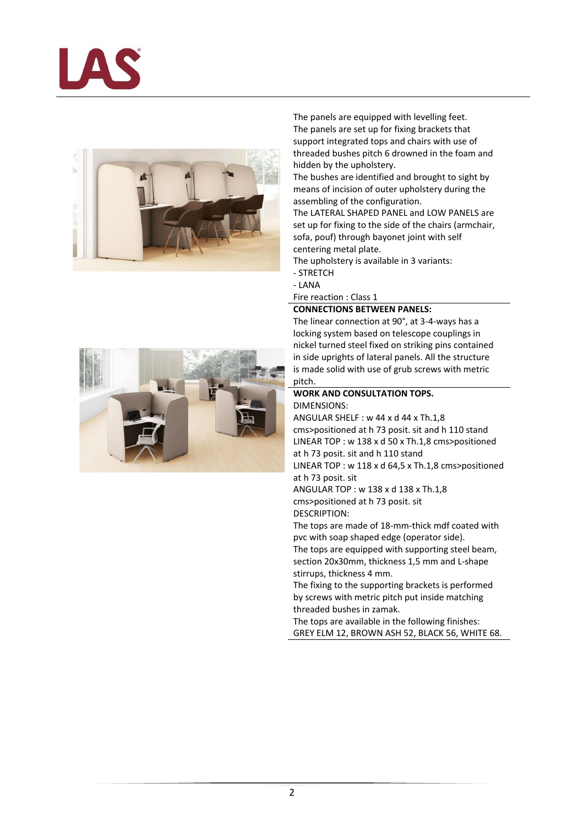



The panels are equipped with levelling feet. The panels are set up for fixing brackets that support integrated tops and chairs with use of threaded bushes pitch 6 drowned in the foam and hidden by the upholstery.

The bushes are identified and brought to sight by means of incision of outer upholstery during the assembling of the configuration.

The LATERAL SHAPED PANEL and LOW PANELS are set up for fixing to the side of the chairs (armchair, sofa, pouf) through bayonet joint with self centering metal plate.

The upholstery is available in 3 variants:

- ‐ STRETCH
- ‐ LANA

Fire reaction : Class 1

### **CONNECTIONS BETWEEN PANELS:**

The linear connection at 90°, at 3‐4‐ways has a locking system based on telescope couplings in nickel turned steel fixed on striking pins contained in side uprights of lateral panels. All the structure is made solid with use of grub screws with metric pitch.

#### **WORK AND CONSULTATION TOPS.** DIMENSIONS:

ANGULAR SHELF : w 44 x d 44 x Th.1,8 cms>positioned at h 73 posit. sit and h 110 stand LINEAR TOP : w 138 x d 50 x Th.1,8 cms>positioned at h 73 posit. sit and h 110 stand LINEAR TOP : w 118 x d 64,5 x Th.1,8 cms>positioned

at h 73 posit. sit ANGULAR TOP : w 138 x d 138 x Th.1,8 cms>positioned at h 73 posit. sit

DESCRIPTION:

The tops are made of 18‐mm‐thick mdf coated with pvc with soap shaped edge (operator side). The tops are equipped with supporting steel beam, section 20x30mm, thickness 1,5 mm and L-shape stirrups, thickness 4 mm.

The fixing to the supporting brackets is performed by screws with metric pitch put inside matching threaded bushes in zamak.

The tops are available in the following finishes: GREY ELM 12, BROWN ASH 52, BLACK 56, WHITE 68.

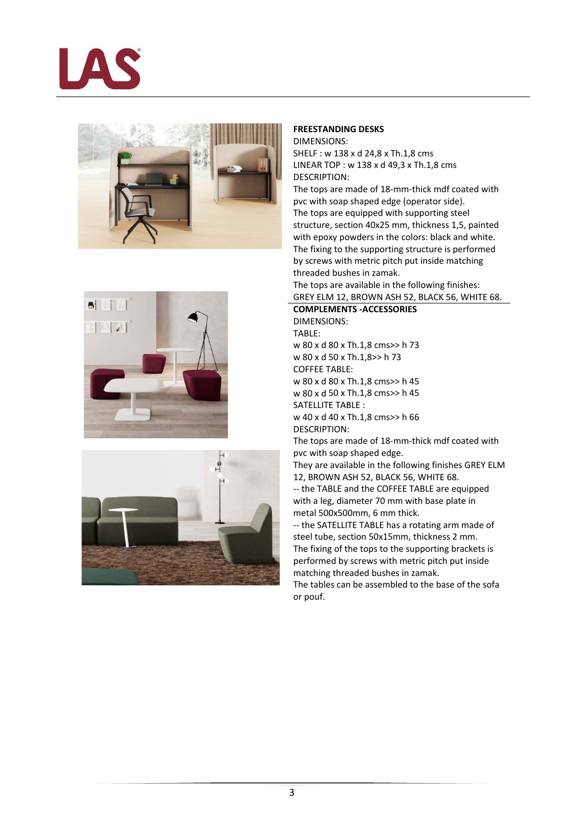







#### **FREESTANDING DESKS** DIMENSIONS:

SHELF : w 138 x d 24,8 x Th.1,8 cms LINEAR TOP : w 138 x d 49,3 x Th.1,8 cms DESCRIPTION:

The tops are made of 18‐mm‐thick mdf coated with pvc with soap shaped edge (operator side). The tops are equipped with supporting steel structure, section 40x25 mm, thickness 1,5, painted with epoxy powders in the colors: black and white. The fixing to the supporting structure is performed by screws with metric pitch put inside matching threaded bushes in zamak. The tops are available in the following finishes: GREY ELM 12, BROWN ASH 52, BLACK 56, WHITE 68.

## **COMPLEMENTS ‐ACCESSORIES**

DIMENSIONS: TABLE: w 80 x d 80 x Th.1,8 cms>> h 73 w 80 x d 50 x Th.1,8>> h 73 COFFEE TABLE: w 80 x d 80 x Th.1,8 cms>> h 45 w 80 x d 50 x Th.1,8 cms>> h 45 SATELLITE TABLE : w 40 x d 40 x Th.1,8 cms>> h 66 DESCRIPTION:

The tops are made of 18‐mm‐thick mdf coated with pvc with soap shaped edge.

They are available in the following finishes GREY ELM 12, BROWN ASH 52, BLACK 56, WHITE 68.

‐‐ the TABLE and the COFFEE TABLE are equipped with a leg, diameter 70 mm with base plate in metal 500x500mm, 6 mm thick.

‐‐ the SATELLITE TABLE has a rotating arm made of steel tube, section 50x15mm, thickness 2 mm. The fixing of the tops to the supporting brackets is performed by screws with metric pitch put inside matching threaded bushes in zamak.

The tables can be assembled to the base of the sofa or pouf.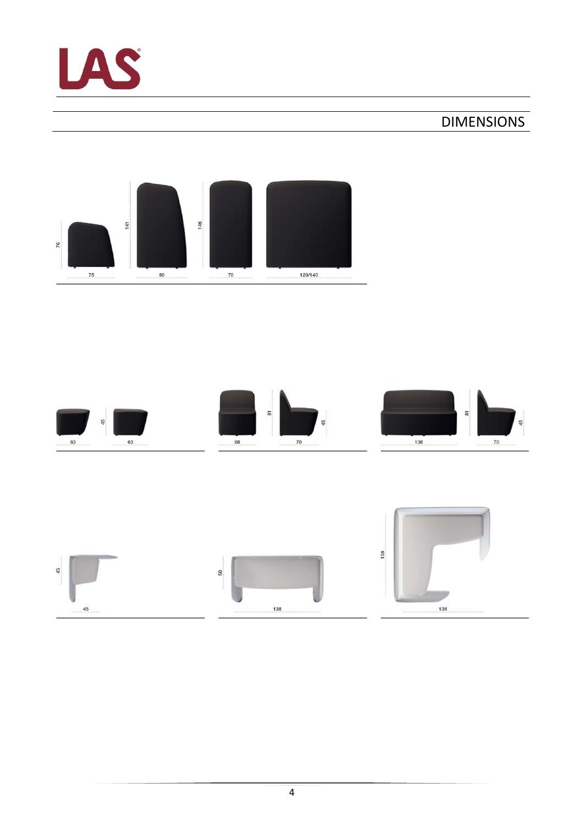

## DIMENSIONS





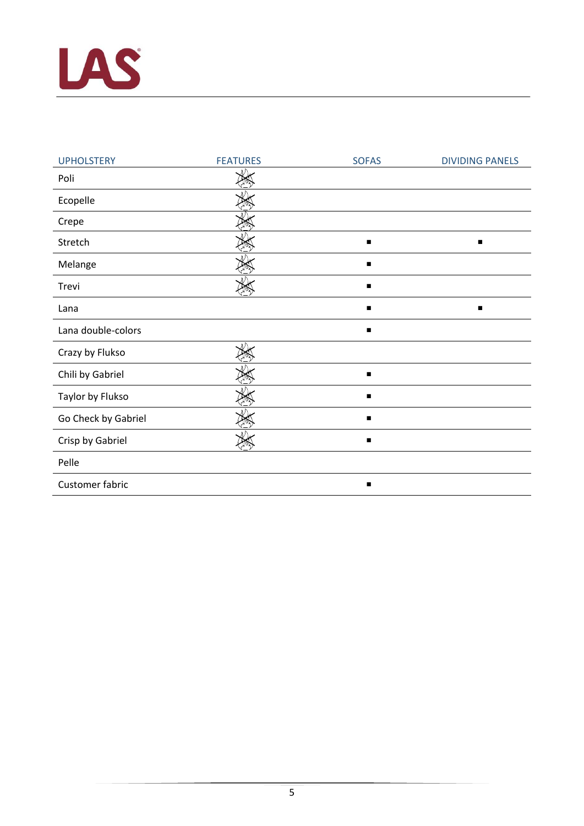

| <b>UPHOLSTERY</b>   | <b>FEATURES</b> | <b>SOFAS</b> | <b>DIVIDING PANELS</b> |
|---------------------|-----------------|--------------|------------------------|
| Poli                |                 |              |                        |
| Ecopelle            |                 |              |                        |
| Crepe               |                 |              |                        |
| Stretch             |                 |              | $\blacksquare$         |
| Melange             |                 | ■            |                        |
| Trevi               |                 | п            |                        |
| Lana                |                 | п            | $\blacksquare$         |
| Lana double-colors  |                 | ■            |                        |
| Crazy by Flukso     |                 |              |                        |
| Chili by Gabriel    |                 |              |                        |
| Taylor by Flukso    |                 |              |                        |
| Go Check by Gabriel |                 | п            |                        |
| Crisp by Gabriel    |                 | п            |                        |
| Pelle               |                 |              |                        |
| Customer fabric     |                 |              |                        |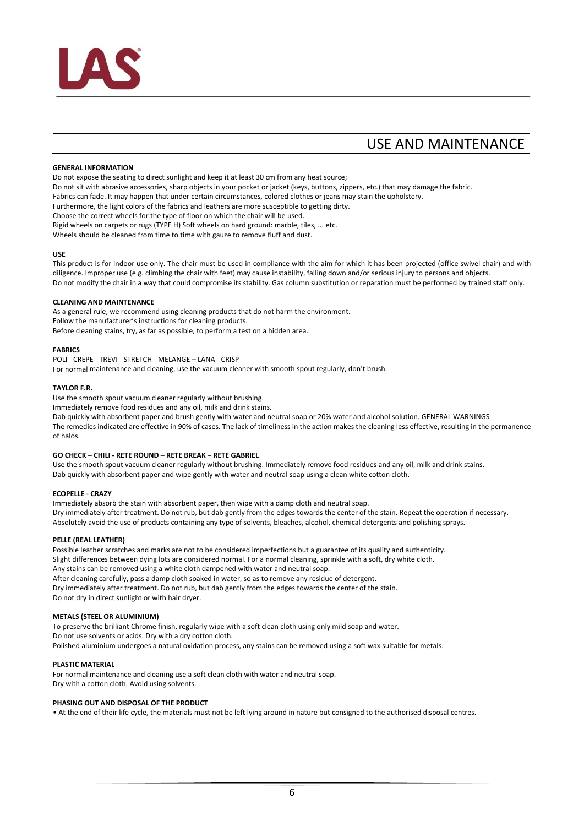

## USE AND MAINTENANCE

#### **GENERAL INFORMATION**

Do not expose the seating to direct sunlight and keep it at least 30 cm from any heat source;

Do not sit with abrasive accessories, sharp objects in your pocket or jacket (keys, buttons, zippers, etc.) that may damage the fabric.

Fabrics can fade. It may happen that under certain circumstances, colored clothes or jeans may stain the upholstery.

Furthermore, the light colors of the fabrics and leathers are more susceptible to getting dirty.

Choose the correct wheels for the type of floor on which the chair will be used.

Rigid wheels on carpets or rugs (TYPE H) Soft wheels on hard ground: marble, tiles, ... etc.

Wheels should be cleaned from time to time with gauze to remove fluff and dust.

#### **USE**

This product is for indoor use only. The chair must be used in compliance with the aim for which it has been projected (office swivel chair) and with diligence. Improper use (e.g. climbing the chair with feet) may cause instability, falling down and/or serious injury to persons and objects. Do not modify the chair in a way that could compromise its stability. Gas column substitution or reparation must be performed by trained staff only.

#### **CLEANING AND MAINTENANCE**

As a general rule, we recommend using cleaning products that do not harm the environment. Follow the manufacturer's instructions for cleaning products. Before cleaning stains, try, as far as possible, to perform a test on a hidden area.

#### **FABRICS**

POLI ‐ CREPE ‐ TREVI ‐ STRETCH ‐ MELANGE – LANA ‐ CRISP

For normal maintenance and cleaning, use the vacuum cleaner with smooth spout regularly, don't brush.

#### **TAYLOR F.R.**

Use the smooth spout vacuum cleaner regularly without brushing.

Immediately remove food residues and any oil, milk and drink stains.

Dab quickly with absorbent paper and brush gently with water and neutral soap or 20% water and alcohol solution. GENERAL WARNINGS The remedies indicated are effective in 90% of cases. The lack of timeliness in the action makes the cleaning less effective, resulting in the permanence of halos.

#### **GO CHECK – CHILI ‐ RETE ROUND – RETE BREAK – RETE GABRIEL**

Use the smooth spout vacuum cleaner regularly without brushing. Immediately remove food residues and any oil, milk and drink stains. Dab quickly with absorbent paper and wipe gently with water and neutral soap using a clean white cotton cloth.

#### **ECOPELLE ‐ CRAZY**

Immediately absorb the stain with absorbent paper, then wipe with a damp cloth and neutral soap. Dry immediately after treatment. Do not rub, but dab gently from the edges towards the center of the stain. Repeat the operation if necessary. Absolutely avoid the use of products containing any type of solvents, bleaches, alcohol, chemical detergents and polishing sprays.

#### **PELLE (REAL LEATHER)**

Possible leather scratches and marks are not to be considered imperfections but a guarantee of its quality and authenticity. Slight differences between dying lots are considered normal. For a normal cleaning, sprinkle with a soft, dry white cloth. Any stains can be removed using a white cloth dampened with water and neutral soap. After cleaning carefully, pass a damp cloth soaked in water, so as to remove any residue of detergent. Dry immediately after treatment. Do not rub, but dab gently from the edges towards the center of the stain. Do not dry in direct sunlight or with hair dryer.

#### **METALS (STEEL OR ALUMINIUM)**

To preserve the brilliant Chrome finish, regularly wipe with a soft clean cloth using only mild soap and water. Do not use solvents or acids. Dry with a dry cotton cloth. Polished aluminium undergoes a natural oxidation process, any stains can be removed using a soft wax suitable for metals.

#### **PLASTIC MATERIAL**

For normal maintenance and cleaning use a soft clean cloth with water and neutral soap. Dry with a cotton cloth. Avoid using solvents.

#### **PHASING OUT AND DISPOSAL OF THE PRODUCT**

• At the end of their life cycle, the materials must not be left lying around in nature but consigned to the authorised disposal centres.